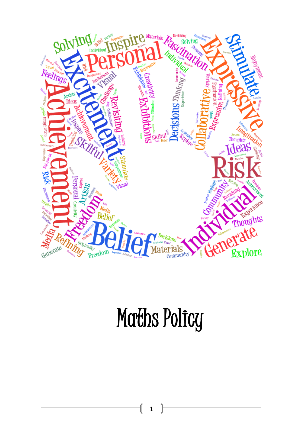

# Maths Policy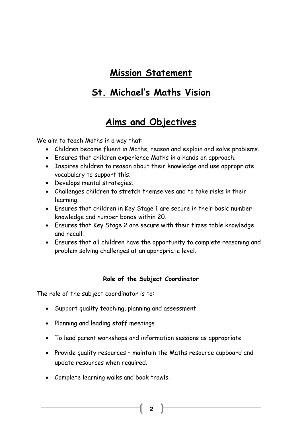# **Mission Statement**

# **St. Michael's Maths Vision**

# **Aims and Objectives**

We aim to teach Maths in a way that:

- Children become fluent in Maths, reason and explain and solve problems.
- Ensures that children experience Maths in a hands on approach.
- Inspires children to reason about their knowledge and use appropriate vocabulary to support this.
- Develops mental strategies.
- Challenges children to stretch themselves and to take risks in their learning.
- Ensures that children in Key Stage 1 are secure in their basic number knowledge and number bonds within 20.
- Ensures that Key Stage 2 are secure with their times table knowledge and recall.
- Ensures that all children have the opportunity to complete reasoning and problem solving challenges at an appropriate level.

## **Role of the Subject Coordinator**

The role of the subject coordinator is to:

- Support quality teaching, planning and assessment
- Planning and leading staff meetings
- To lead parent workshops and information sessions as appropriate
- Provide quality resources maintain the Maths resource cupboard and update resources when required.

**2**

Complete learning walks and book trawls.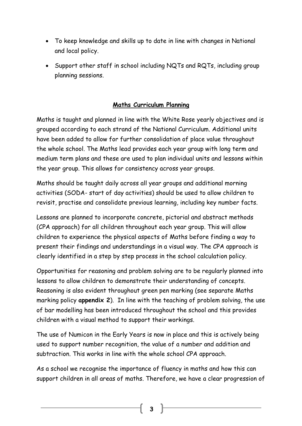- To keep knowledge and skills up to date in line with changes in National and local policy.
- Support other staff in school including NQTs and RQTs, including group planning sessions.

## **Maths Curriculum Planning**

Maths is taught and planned in line with the White Rose yearly objectives and is grouped according to each strand of the National Curriculum. Additional units have been added to allow for further consolidation of place value throughout the whole school. The Maths lead provides each year group with long term and medium term plans and these are used to plan individual units and lessons within the year group. This allows for consistency across year groups.

Maths should be taught daily across all year groups and additional morning activities (SODA- start of day activities) should be used to allow children to revisit, practise and consolidate previous learning, including key number facts.

Lessons are planned to incorporate concrete, pictorial and abstract methods (CPA approach) for all children throughout each year group. This will allow children to experience the physical aspects of Maths before finding a way to present their findings and understandings in a visual way. The CPA approach is clearly identified in a step by step process in the school calculation policy.

Opportunities for reasoning and problem solving are to be regularly planned into lessons to allow children to demonstrate their understanding of concepts. Reasoning is also evident throughout green pen marking (see separate Maths marking policy **appendix 2**). In line with the teaching of problem solving, the use of bar modelling has been introduced throughout the school and this provides children with a visual method to support their workings.

The use of Numicon in the Early Years is now in place and this is actively being used to support number recognition, the value of a number and addition and subtraction. This works in line with the whole school CPA approach.

As a school we recognise the importance of fluency in maths and how this can support children in all areas of maths. Therefore, we have a clear progression of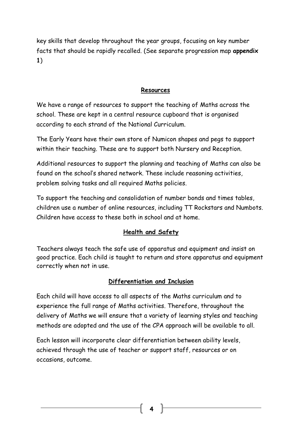key skills that develop throughout the year groups, focusing on key number facts that should be rapidly recalled. (See separate progression map **appendix 1**)

## **Resources**

We have a range of resources to support the teaching of Maths across the school. These are kept in a central resource cupboard that is organised according to each strand of the National Curriculum.

The Early Years have their own store of Numicon shapes and pegs to support within their teaching. These are to support both Nursery and Reception.

Additional resources to support the planning and teaching of Maths can also be found on the school's shared network. These include reasoning activities, problem solving tasks and all required Maths policies.

To support the teaching and consolidation of number bonds and times tables, children use a number of online resources, including TT Rockstars and Numbots. Children have access to these both in school and at home.

# **Health and Safety**

Teachers always teach the safe use of apparatus and equipment and insist on good practice. Each child is taught to return and store apparatus and equipment correctly when not in use.

# **Differentiation and Inclusion**

Each child will have access to all aspects of the Maths curriculum and to experience the full range of Maths activities. Therefore, throughout the delivery of Maths we will ensure that a variety of learning styles and teaching methods are adopted and the use of the CPA approach will be available to all.

Each lesson will incorporate clear differentiation between ability levels, achieved through the use of teacher or support staff, resources or on occasions, outcome.

**4**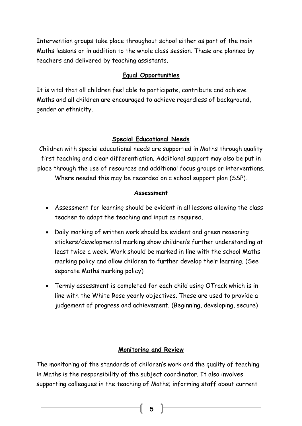Intervention groups take place throughout school either as part of the main Maths lessons or in addition to the whole class session. These are planned by teachers and delivered by teaching assistants.

# **Equal Opportunities**

It is vital that all children feel able to participate, contribute and achieve Maths and all children are encouraged to achieve regardless of background, gender or ethnicity.

# **Special Educational Needs**

Children with special educational needs are supported in Maths through quality first teaching and clear differentiation. Additional support may also be put in place through the use of resources and additional focus groups or interventions. Where needed this may be recorded on a school support plan (SSP).

## **Assessment**

- Assessment for learning should be evident in all lessons allowing the class teacher to adapt the teaching and input as required.
- Daily marking of written work should be evident and green reasoning stickers/developmental marking show children's further understanding at least twice a week. Work should be marked in line with the school Maths marking policy and allow children to further develop their learning. (See separate Maths marking policy)
- Termly assessment is completed for each child using OTrack which is in line with the White Rose yearly objectives. These are used to provide a judgement of progress and achievement. (Beginning, developing, secure)

## **Monitoring and Review**

The monitoring of the standards of children's work and the quality of teaching in Maths is the responsibility of the subject coordinator. It also involves supporting colleagues in the teaching of Maths; informing staff about current